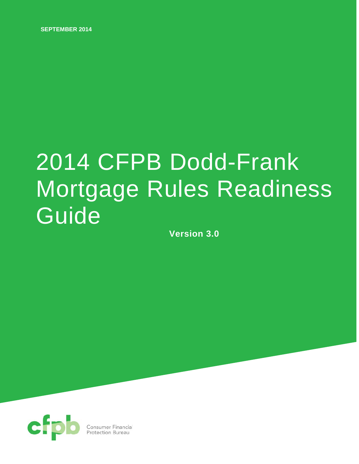**SEPTEMBER 2014**

# 2014 CFPB Dodd-Frank Mortgage Rules Readiness Guide

**Version 3.0**

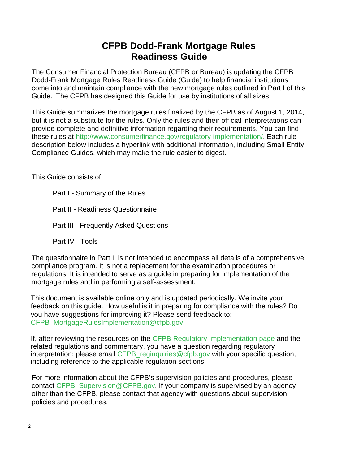# **CFPB Dodd-Frank Mortgage Rules Readiness Guide**

The Consumer Financial Protection Bureau (CFPB or Bureau) is updating the CFPB Dodd-Frank Mortgage Rules Readiness Guide (Guide) to help financial institutions come into and maintain compliance with the new mortgage rules outlined in Part I of this Guide. The CFPB has designed this Guide for use by institutions of all sizes.

This Guide summarizes the mortgage rules finalized by the CFPB as of August 1, 2014, but it is not a substitute for the rules. Only the rules and their official interpretations can provide complete and definitive information regarding their requirements. You can find these rules at [http://www.consumerfinance.gov/regulatory-implementation/.](http://www.consumerfinance.gov/regulatory-implementation/) Each rule description below includes a hyperlink with additional information, including Small Entity Compliance Guides, which may make the rule easier to digest.

This Guide consists of:

Part I - Summary of the Rules Part II - Readiness Questionnaire Part III - Frequently Asked Questions

Part IV - Tools

The questionnaire in Part II is not intended to encompass all details of a comprehensive compliance program. It is not a replacement for the examination procedures or regulations. It is intended to serve as a guide in preparing for implementation of the mortgage rules and in performing a self-assessment.

This document is available online only and is updated periodically. We invite your feedback on this guide. How useful is it in preparing for compliance with the rules? Do you have suggestions for improving it? Please send feedback to: [CFPB\\_MortgageRulesImplementation@cfpb.gov.](mailto:CFPB_MortgageRulesImplementation@cfpb.gov%20.)

If, after reviewing the resources on the [CFPB Regulatory Implementation page](http://www.consumerfinance.gov/regulatory-implementation/) and the related regulations and commentary, you have a question regarding regulatory interpretation; please email [CFPB\\_reginquiries@cfpb.gov](mailto:CFPB_reginquiries@cfpb.gov) with your specific question, including reference to the applicable regulation sections.

For more information about the CFPB's supervision policies and procedures, please contact [CFPB\\_Supervision@CFPB.gov.](mailto:CFPB_Supervision@CFPB.gov) If your company is supervised by an agency other than the CFPB, please contact that agency with questions about supervision policies and procedures.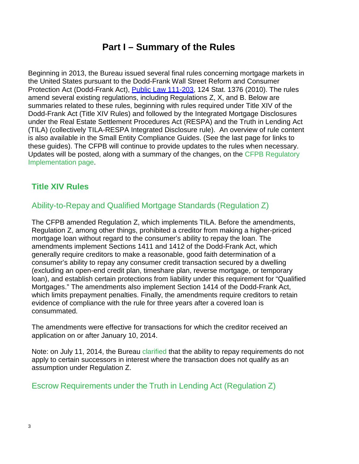# **Part I – Summary of the Rules**

Beginning in 2013, the Bureau issued several final rules concerning mortgage markets in the United States pursuant to the Dodd-Frank Wall Street Reform and Consumer Protection Act (Dodd-Frank Act), Public Law 111-203, 124 Stat. 1376 (2010). The rules amend several existing regulations, including Regulations Z, X, and B. Below are summaries related to these rules, beginning with rules required under Title XIV of the Dodd-Frank Act (Title XIV Rules) and followed by the Integrated Mortgage Disclosures under the Real Estate Settlement Procedures Act (RESPA) and the Truth in Lending Act (TILA) (collectively TILA-RESPA Integrated Disclosure rule). An overview of rule content is also available in the Small Entity Compliance Guides. (See the last page for links to these guides). The CFPB will continue to provide updates to the rules when necessary. Updates will be posted, along with a summary of the changes, on the [CFPB Regulatory](http://www.consumerfinance.gov/regulatory-implementation/)  [Implementation page.](http://www.consumerfinance.gov/regulatory-implementation/)

# **[Title XIV Rules](http://www.consumerfinance.gov/regulatory-implementation/title-xiv/)**

# [Ability-to-Repay](http://www.consumerfinance.gov/regulations/ability-to-repay-and-qualified-mortgage-standards-under-the-truth-in-lending-act-regulation-z/) and Qualified Mortgage Standards (Regulation Z)

The CFPB amended Regulation Z, which implements TILA. Before the amendments, Regulation Z, among other things, prohibited a creditor from making a higher-priced mortgage loan without regard to the consumer's ability to repay the loan. The amendments implement Sections 1411 and 1412 of the Dodd-Frank Act, which generally require creditors to make a reasonable, good faith determination of a consumer's ability to repay any consumer credit transaction secured by a dwelling (excluding an open-end credit plan, timeshare plan, reverse mortgage, or temporary loan), and establish certain protections from liability under this requirement for "Qualified Mortgages." The amendments also implement Section 1414 of the Dodd-Frank Act, which limits prepayment penalties. Finally, the amendments require creditors to retain evidence of compliance with the rule for three years after a covered loan is consummated.

The amendments were effective for transactions for which the creditor received an application on or after January 10, 2014.

Note: on July 11, 2014, the Bureau [clarified](http://www.gpo.gov/fdsys/pkg/FR-2014-07-17/pdf/2014-16780.pdf) that the ability to repay requirements do not apply to certain successors in interest where the transaction does not qualify as an assumption under Regulation Z.

# Escrow [Requirements](http://www.consumerfinance.gov/regulations/escrow-requirements-under-the-truth-in-lending-act-regulation-z/) under the Truth in Lending Act (Regulation Z)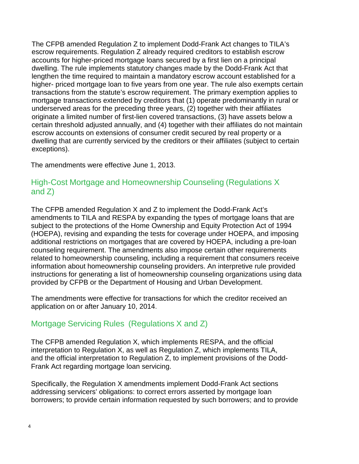The CFPB amended Regulation Z to implement Dodd-Frank Act changes to TILA's escrow requirements. Regulation Z already required creditors to establish escrow accounts for higher-priced mortgage loans secured by a first lien on a principal dwelling. The rule implements statutory changes made by the Dodd-Frank Act that lengthen the time required to maintain a mandatory escrow account established for a higher- priced mortgage loan to five years from one year. The rule also exempts certain transactions from the statute's escrow requirement. The primary exemption applies to mortgage transactions extended by creditors that (1) operate predominantly in rural or underserved areas for the preceding three years, (2) together with their affiliates originate a limited number of first-lien covered transactions, (3) have assets below a certain threshold adjusted annually, and (4) together with their affiliates do not maintain escrow accounts on extensions of consumer credit secured by real property or a dwelling that are currently serviced by the creditors or their affiliates (subject to certain exceptions).

The amendments were effective June 1, 2013.

# High-Cost Mortgage and [Homeownership](http://www.consumerfinance.gov/regulations/high-cost-mortgage-and-homeownership-counseling-amendments-to-regulation-z-and-homeownership-counseling-amendments-to-regulation-x/) Counseling (Regulations X [and](http://www.consumerfinance.gov/regulations/high-cost-mortgage-and-homeownership-counseling-amendments-to-regulation-z-and-homeownership-counseling-amendments-to-regulation-x/) Z)

The CFPB amended Regulation X and Z to implement the Dodd-Frank Act's amendments to TILA and RESPA by expanding the types of mortgage loans that are subject to the protections of the Home Ownership and Equity Protection Act of 1994 (HOEPA), revising and expanding the tests for coverage under HOEPA, and imposing additional restrictions on mortgages that are covered by HOEPA, including a pre-loan counseling requirement. The amendments also impose certain other requirements related to homeownership counseling, including a requirement that consumers receive information about homeownership counseling providers. An interpretive rule provided instructions for generating a list of homeownership counseling organizations using data provided by CFPB or the Department of Housing and Urban Development.

The amendments were effective for transactions for which the creditor received an application on or after January 10, 2014.

# Mortgage Servicing Rules [\(Regulations](http://www.consumerfinance.gov/regulations/2013-real-estate-settlement-procedures-act-regulation-x-and-truth-in-lending-act-regulation-z-mortgage-servicing-final-rules/) X and Z)

The CFPB amended Regulation X, which implements RESPA, and the official interpretation to Regulation X, as well as Regulation Z, which implements TILA, and the official interpretation to Regulation Z, to implement provisions of the Dodd-Frank Act regarding mortgage loan servicing.

Specifically, the Regulation X amendments implement Dodd-Frank Act sections addressing servicers' obligations: to correct errors asserted by mortgage loan borrowers; to provide certain information requested by such borrowers; and to provide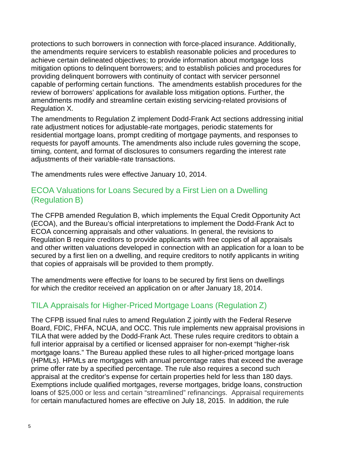protections to such borrowers in connection with force-placed insurance. Additionally, the amendments require servicers to establish reasonable policies and procedures to achieve certain delineated objectives; to provide information about mortgage loss mitigation options to delinquent borrowers; and to establish policies and procedures for providing delinquent borrowers with continuity of contact with servicer personnel capable of performing certain functions. The amendments establish procedures for the review of borrowers' applications for available loss mitigation options. Further, the amendments modify and streamline certain existing servicing-related provisions of Regulation X.

The amendments to Regulation Z implement Dodd-Frank Act sections addressing initial rate adjustment notices for adjustable-rate mortgages, periodic statements for residential mortgage loans, prompt crediting of mortgage payments, and responses to requests for payoff amounts. The amendments also include rules governing the scope, timing, content, and format of disclosures to consumers regarding the interest rate adjustments of their variable-rate transactions.

The amendments rules were effective January 10, 2014.

# ECOA [Valuations](http://www.consumerfinance.gov/regulations/disclosure-and-delivery-requirements-for-copies-of-appraisals-and-other-written-valuations-under-the-equal-credit-opportunity-act-regulation-b/) for Loans Secured by a First Lien on a Dwelling [\(Regulation](http://www.consumerfinance.gov/regulations/disclosure-and-delivery-requirements-for-copies-of-appraisals-and-other-written-valuations-under-the-equal-credit-opportunity-act-regulation-b/) B)

The CFPB amended Regulation B, which implements the Equal Credit Opportunity Act (ECOA), and the Bureau's official interpretations to implement the Dodd-Frank Act to ECOA concerning appraisals and other valuations. In general, the revisions to Regulation B require creditors to provide applicants with free copies of all appraisals and other written valuations developed in connection with an application for a loan to be secured by a first lien on a dwelling, and require creditors to notify applicants in writing that copies of appraisals will be provided to them promptly.

The amendments were effective for loans to be secured by first liens on dwellings for which the creditor received an application on or after January 18, 2014.

# TILA Appraisals for [Higher-Priced](http://www.consumerfinance.gov/regulations/appraisals-for-higher-priced-mortgage-loans/) Mortgage Loans (Regulation Z)

The CFPB issued final rules to amend Regulation Z jointly with the Federal Reserve Board, FDIC, FHFA, NCUA, and OCC. This rule implements new appraisal provisions in TILA that were added by the Dodd-Frank Act. These rules require creditors to obtain a full interior appraisal by a certified or licensed appraiser for non-exempt "higher-risk mortgage loans." The Bureau applied these rules to all higher-priced mortgage loans (HPMLs). HPMLs are mortgages with annual percentage rates that exceed the average prime offer rate by a specified percentage. The rule also requires a second such appraisal at the creditor's expense for certain properties held for less than 180 days. Exemptions include qualified mortgages, reverse mortgages, bridge loans, construction loans of \$25,000 or less and certain "streamlined" refinancings. Appraisal requirements for certain manufactured homes are effective on July 18, 2015. In addition, the rule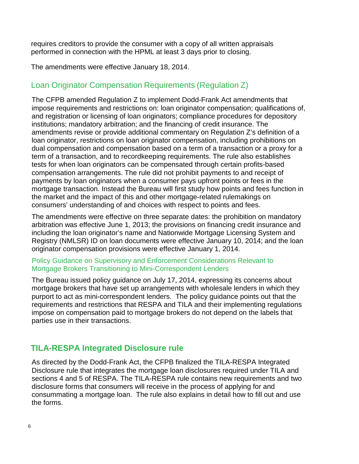requires creditors to provide the consumer with a copy of all written appraisals performed in connection with the HPML at least 3 days prior to closing.

The amendments were effective January 18, 2014.

# Loan Originator [Compensation](http://www.consumerfinance.gov/regulations/loan-originator-compensation-requirements-under-the-truth-in-lending-act-regulation-z/) Requirements (Regulation Z)

The CFPB amended Regulation Z to implement Dodd-Frank Act amendments that impose requirements and restrictions on: loan originator compensation; qualifications of, and registration or licensing of loan originators; compliance procedures for depository institutions; mandatory arbitration; and the financing of credit insurance. The amendments revise or provide additional commentary on Regulation Z's definition of a loan originator, restrictions on loan originator compensation, including prohibitions on dual compensation and compensation based on a term of a transaction or a proxy for a term of a transaction, and to recordkeeping requirements. The rule also establishes tests for when loan originators can be compensated through certain profits-based compensation arrangements. The rule did not prohibit payments to and receipt of payments by loan originators when a consumer pays upfront points or fees in the mortgage transaction. Instead the Bureau will first study how points and fees function in the market and the impact of this and other mortgage-related rulemakings on consumers' understanding of and choices with respect to points and fees.

The amendments were effective on three separate dates: the prohibition on mandatory arbitration was effective June 1, 2013; the provisions on financing credit insurance and including the loan originator's name and Nationwide Mortgage Licensing System and Registry (NMLSR) ID on loan documents were effective January 10, 2014; and the loan originator compensation provisions were effective January 1, 2014.

## [Policy Guidance on Supervisory and Enforcement Considerations Relevant to](http://files.consumerfinance.gov/f/201407_cfpb_guidance_mini-correspondent-lenders.pdf)  [Mortgage Brokers Transitioning to Mini-Correspondent Lenders](http://files.consumerfinance.gov/f/201407_cfpb_guidance_mini-correspondent-lenders.pdf)

The Bureau issued policy guidance on July 17, 2014, expressing its concerns about mortgage brokers that have set up arrangements with wholesale lenders in which they purport to act as mini-correspondent lenders. The policy guidance points out that the requirements and restrictions that RESPA and TILA and their implementing regulations impose on compensation paid to mortgage brokers do not depend on the labels that parties use in their transactions.

# **[TILA-RESPA Integrated Disclosure rule](http://www.consumerfinance.gov/regulations/integrated-mortgage-disclosures-under-the-real-estate-settlement-procedures-act-regulation-x-and-the-truth-in-lending-act-regulation-z/)**

As directed by the Dodd-Frank Act, the CFPB finalized the TILA-RESPA Integrated Disclosure rule that integrates the mortgage loan disclosures required under TILA and sections 4 and 5 of RESPA. The TILA-RESPA rule contains new requirements and two disclosure forms that consumers will receive in the process of applying for and consummating a mortgage loan. The rule also explains in detail how to fill out and use the forms.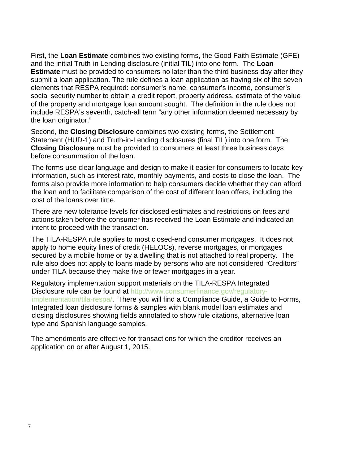First, the **Loan Estimate** combines two existing forms, the Good Faith Estimate (GFE) and the initial Truth-in Lending disclosure (initial TIL) into one form. The **Loan Estimate** must be provided to consumers no later than the third business day after they submit a loan application. The rule defines a loan application as having six of the seven elements that RESPA required: consumer's name, consumer's income, consumer's social security number to obtain a credit report, property address, estimate of the value of the property and mortgage loan amount sought. The definition in the rule does not include RESPA's seventh, catch-all term "any other information deemed necessary by the loan originator."

Second, the **Closing Disclosure** combines two existing forms, the Settlement Statement (HUD-1) and Truth-in-Lending disclosures (final TIL) into one form. The **Closing Disclosure** must be provided to consumers at least three business days before consummation of the loan.

The forms use clear language and design to make it easier for consumers to locate key information, such as interest rate, monthly payments, and costs to close the loan. The forms also provide more information to help consumers decide whether they can afford the loan and to facilitate comparison of the cost of different loan offers, including the cost of the loans over time.

There are new tolerance levels for disclosed estimates and restrictions on fees and actions taken before the consumer has received the Loan Estimate and indicated an intent to proceed with the transaction.

The TILA-RESPA rule applies to most closed-end consumer mortgages. It does not apply to home equity lines of credit (HELOCs), reverse mortgages, or mortgages secured by a mobile home or by a dwelling that is not attached to real property. The rule also does not apply to loans made by persons who are not considered "Creditors" under TILA because they make five or fewer mortgages in a year.

Regulatory implementation support materials on the TILA-RESPA Integrated Disclosure rule can be found at [http://www.consumerfinance.gov/regulatory](http://www.consumerfinance.gov/regulatory-implementation/tila-respa/)[implementation/tila-respa/.](http://www.consumerfinance.gov/regulatory-implementation/tila-respa/) There you will find a Compliance Guide, a Guide to Forms, Integrated loan disclosure forms & samples with blank model loan estimates and closing disclosures showing fields annotated to show rule citations, alternative loan type and Spanish language samples.

The amendments are effective for transactions for which the creditor receives an application on or after August 1, 2015.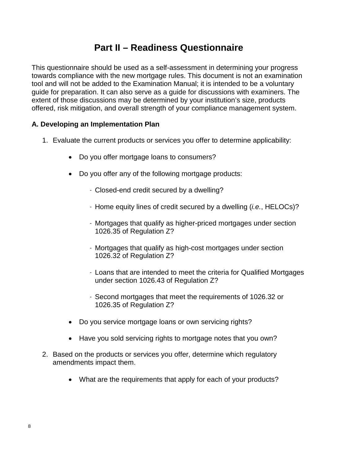# **Part II – Readiness Questionnaire**

This questionnaire should be used as a self-assessment in determining your progress towards compliance with the new mortgage rules. This document is not an examination tool and will not be added to the Examination Manual; it is intended to be a voluntary guide for preparation. It can also serve as a guide for discussions with examiners. The extent of those discussions may be determined by your institution's size, products offered, risk mitigation, and overall strength of your compliance management system.

# **A. Developing an Implementation Plan**

- 1. Evaluate the current products or services you offer to determine applicability:
	- Do you offer mortgage loans to consumers?
	- Do you offer any of the following mortgage products:
		- Closed-end credit secured by a dwelling?
		- Home equity lines of credit secured by a dwelling (*i.e.*, HELOCs)?
		- Mortgages that qualify as higher-priced mortgages under section 1026.35 of Regulation Z?
		- Mortgages that qualify as high-cost mortgages under section 1026.32 of Regulation Z?
		- Loans that are intended to meet the criteria for Qualified Mortgages under section 1026.43 of Regulation Z?
		- Second mortgages that meet the requirements of 1026.32 or 1026.35 of Regulation Z?
	- Do you service mortgage loans or own servicing rights?
	- Have you sold servicing rights to mortgage notes that you own?
- 2. Based on the products or services you offer, determine which regulatory amendments impact them.
	- What are the requirements that apply for each of your products?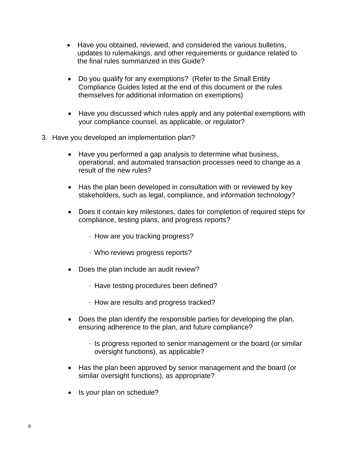- Have you obtained, reviewed, and considered the various bulletins, updates to rulemakings, and other requirements or guidance related to the final rules summarized in this Guide?
- Do you qualify for any exemptions? (Refer to the Small Entity Compliance Guides listed at the end of this document or the rules themselves for additional information on exemptions)
- Have you discussed which rules apply and any potential exemptions with your compliance counsel, as applicable, or regulator?
- 3. Have you developed an implementation plan?
	- Have you performed a gap analysis to determine what business, operational, and automated transaction processes need to change as a result of the new rules?
	- Has the plan been developed in consultation with or reviewed by key stakeholders, such as legal, compliance, and information technology?
	- Does it contain key milestones, dates for completion of required steps for compliance, testing plans, and progress reports?
		- How are you tracking progress?
		- Who reviews progress reports?
	- Does the plan include an audit review?
		- Have testing procedures been defined?
		- How are results and progress tracked?
	- Does the plan identify the responsible parties for developing the plan, ensuring adherence to the plan, and future compliance?
		- Is progress reported to senior management or the board (or similar oversight functions), as applicable?
	- Has the plan been approved by senior management and the board (or similar oversight functions), as appropriate?
	- Is your plan on schedule?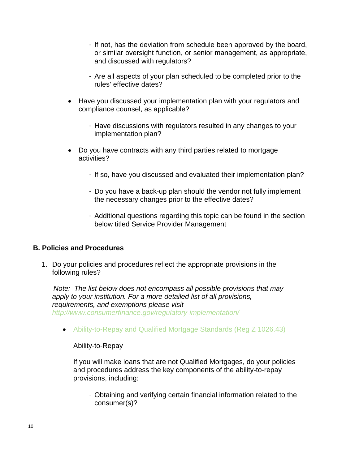- If not, has the deviation from schedule been approved by the board, or similar oversight function, or senior management, as appropriate, and discussed with regulators?
- Are all aspects of your plan scheduled to be completed prior to the rules' effective dates?
- Have you discussed your implementation plan with your regulators and compliance counsel, as applicable?
	- Have discussions with regulators resulted in any changes to your implementation plan?
- Do you have contracts with any third parties related to mortgage activities?
	- If so, have you discussed and evaluated their implementation plan?
	- Do you have a back-up plan should the vendor not fully implement the necessary changes prior to the effective dates?
	- Additional questions regarding this topic can be found in the section below titled Service Provider Management

## **B. Policies and Procedures**

1. Do your policies and procedures reflect the appropriate provisions in the following rules?

 *Note: The list below does not encompass all possible provisions that may apply to your institution. For a more detailed list of all provisions, requirements, and exemptions please visit <http://www.consumerfinance.gov/regulatory-implementation/>*

• [Ability-to-Repay](http://www.consumerfinance.gov/regulations/ability-to-repay-and-qualified-mortgage-standards-under-the-truth-in-lending-act-regulation-z/) and Qualified Mortgage Standards (Reg Z 1026.43)

#### Ability-to-Repay

If you will make loans that are not Qualified Mortgages, do your policies and procedures address the key components of the ability-to-repay provisions, including:

- Obtaining and verifying certain financial information related to the consumer(s)?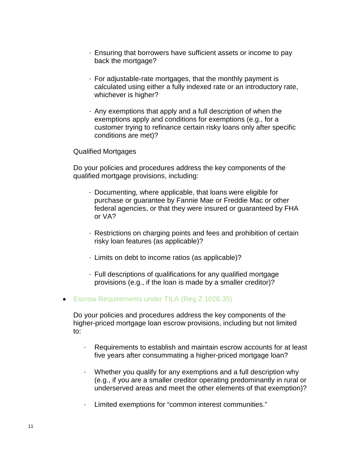- Ensuring that borrowers have sufficient assets or income to pay back the mortgage?
- For adjustable-rate mortgages, that the monthly payment is calculated using either a fully indexed rate or an introductory rate, whichever is higher?
- Any exemptions that apply and a full description of when the exemptions apply and conditions for exemptions (e.g., for a customer trying to refinance certain risky loans only after specific conditions are met)?

Qualified Mortgages

Do your policies and procedures address the key components of the qualified mortgage provisions, including:

- Documenting, where applicable, that loans were eligible for purchase or guarantee by Fannie Mae or Freddie Mac or other federal agencies, or that they were insured or guaranteed by FHA or VA?
- Restrictions on charging points and fees and prohibition of certain risky loan features (as applicable)?
- Limits on debt to income ratios (as applicable)?
- Full descriptions of qualifications for any qualified mortgage provisions (e.g., if the loan is made by a smaller creditor)?
- Escrow [Requirements](http://www.consumerfinance.gov/regulations/escrow-requirements-under-the-truth-in-lending-act-regulation-z/) under TILA (Reg Z 1026.35)

Do your policies and procedures address the key components of the higher-priced mortgage loan escrow provisions, including but not limited to:

- Requirements to establish and maintain escrow accounts for at least five years after consummating a higher-priced mortgage loan?
- Whether you qualify for any exemptions and a full description why (e.g., if you are a smaller creditor operating predominantly in rural or underserved areas and meet the other elements of that exemption)?
- Limited exemptions for "common interest communities."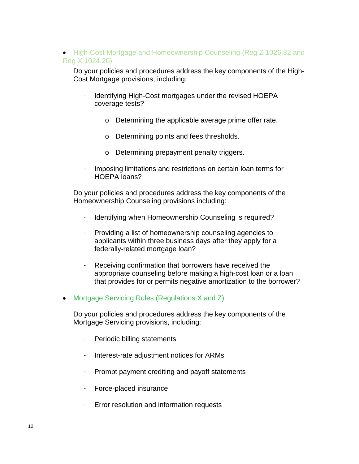# • High-Cost Mortgage and [Homeownership](http://www.consumerfinance.gov/regulations/high-cost-mortgage-and-homeownership-counseling-amendments-to-regulation-z-and-homeownership-counseling-amendments-to-regulation-x/) Counseling (Reg Z 1026.32 and Reg [X 1024.20\)](http://www.consumerfinance.gov/regulations/high-cost-mortgage-and-homeownership-counseling-amendments-to-regulation-z-and-homeownership-counseling-amendments-to-regulation-x/)

Do your policies and procedures address the key components of the High-Cost Mortgage provisions, including:

- Identifying High-Cost mortgages under the revised HOEPA coverage tests?
	- o Determining the applicable average prime offer rate.
	- o Determining points and fees thresholds.
	- o Determining prepayment penalty triggers.
- Imposing limitations and restrictions on certain loan terms for HOEPA loans?

Do your policies and procedures address the key components of the Homeownership Counseling provisions including:

- Identifying when Homeownership Counseling is required?
- Providing a list of homeownership counseling agencies to applicants within three business days after they apply for a federally-related mortgage loan?
- Receiving confirmation that borrowers have received the appropriate counseling before making a high-cost loan or a loan that provides for or permits negative amortization to the borrower?
- [Mortgage Servicing Rules \(Regulations](http://www.consumerfinance.gov/regulations/2013-real-estate-settlement-procedures-act-regulation-x-and-truth-in-lending-act-regulation-z-mortgage-servicing-final-rules/) X and Z)

Do your policies and procedures address the key components of the Mortgage Servicing provisions, including:

- Periodic billing statements
- Interest-rate adjustment notices for ARMs
- Prompt payment crediting and payoff statements
- Force-placed insurance
- Error resolution and information requests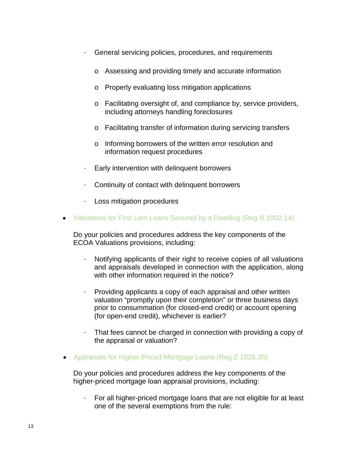- General servicing policies, procedures, and requirements
	- o Assessing and providing timely and accurate information
	- o Properly evaluating loss mitigation applications
	- o Facilitating oversight of, and compliance by, service providers, including attorneys handling foreclosures
	- o Facilitating transfer of information during servicing transfers
	- o Informing borrowers of the written error resolution and information request procedures
- Early intervention with delinquent borrowers
- Continuity of contact with delinquent borrowers
- Loss mitigation procedures
- Valuations for First Lien [Loans Secured by a Dwelling](http://www.consumerfinance.gov/regulations/disclosure-and-delivery-requirements-for-copies-of-appraisals-and-other-written-valuations-under-the-equal-credit-opportunity-act-regulation-b/) (Reg B 1002.14)

Do your policies and procedures address the key components of the ECOA Valuations provisions, including:

- Notifying applicants of their right to receive copies of all valuations and appraisals developed in connection with the application, along with other information required in the notice?
- Providing applicants a copy of each appraisal and other written valuation "promptly upon their completion" or three business days prior to consummation (for closed-end credit) or account opening (for open-end credit), whichever is earlier?
- That fees cannot be charged in connection with providing a copy of the appraisal or valuation?
- Appraisals for [Higher-Priced](http://www.consumerfinance.gov/regulations/appraisals-for-higher-priced-mortgage-loans/) Mortgage Loans (Reg Z 1026.35)

Do your policies and procedures address the key components of the higher-priced mortgage loan appraisal provisions, including:

- For all higher-priced mortgage loans that are not eligible for at least one of the several exemptions from the rule: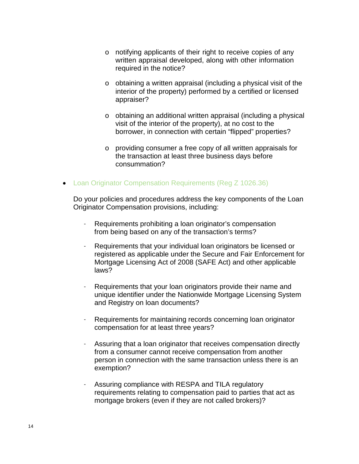- o notifying applicants of their right to receive copies of any written appraisal developed, along with other information required in the notice?
- o obtaining a written appraisal (including a physical visit of the interior of the property) performed by a certified or licensed appraiser?
- o obtaining an additional written appraisal (including a physical visit of the interior of the property), at no cost to the borrower, in connection with certain "flipped" properties?
- o providing consumer a free copy of all written appraisals for the transaction at least three business days before consummation?
- Loan Originator [Compensation](http://www.consumerfinance.gov/regulations/loan-originator-compensation-requirements-under-the-truth-in-lending-act-regulation-z/) Requirements (Reg Z 1026.36)

Do your policies and procedures address the key components of the Loan Originator Compensation provisions, including:

- Requirements prohibiting a loan originator's compensation from being based on any of the transaction's terms?
- Requirements that your individual loan originators be licensed or registered as applicable under the Secure and Fair Enforcement for Mortgage Licensing Act of 2008 (SAFE Act) and other applicable laws?
- Requirements that your loan originators provide their name and unique identifier under the Nationwide Mortgage Licensing System and Registry on loan documents?
- Requirements for maintaining records concerning loan originator compensation for at least three years?
- Assuring that a loan originator that receives compensation directly from a consumer cannot receive compensation from another person in connection with the same transaction unless there is an exemption?
- Assuring compliance with RESPA and TILA regulatory requirements relating to compensation paid to parties that act as mortgage brokers (even if they are not called brokers)?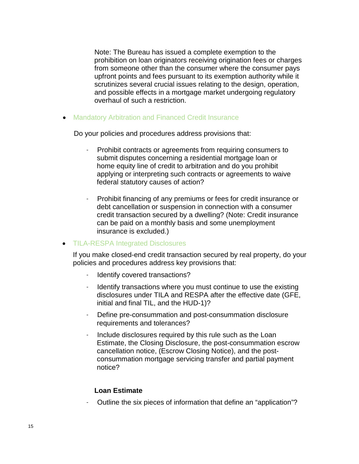Note: The Bureau has issued a complete exemption to the prohibition on loan originators receiving origination fees or charges from someone other than the consumer where the consumer pays upfront points and fees pursuant to its exemption authority while it scrutinizes several crucial issues relating to the design, operation, and possible effects in a mortgage market undergoing regulatory overhaul of such a restriction.

• [Mandatory](https://www.federalregister.gov/articles/2013/02/15/2013-01503/loan-originator-compensation-requirements-under-the-truth-in-lending-act-regulation-z) Arbitration and Financed Credit Insurance

Do your policies and procedures address provisions that:

- Prohibit contracts or agreements from requiring consumers to submit disputes concerning a residential mortgage loan or home equity line of credit to arbitration and do you prohibit applying or interpreting such contracts or agreements to waive federal statutory causes of action?
- Prohibit financing of any premiums or fees for credit insurance or debt cancellation or suspension in connection with a consumer credit transaction secured by a dwelling? (Note: Credit insurance can be paid on a monthly basis and some unemployment insurance is excluded.)

#### • [TILA-RESPA Integrated Disclosures](http://www.consumerfinance.gov/regulations/integrated-mortgage-disclosures-under-the-real-estate-settlement-procedures-act-regulation-x-and-the-truth-in-lending-act-regulation-z/)

If you make closed-end credit transaction secured by real property, do your policies and procedures address key provisions that:

- Identify covered transactions?
- Identify transactions where you must continue to use the existing disclosures under TILA and RESPA after the effective date (GFE, initial and final TIL, and the HUD-1)?
- Define pre-consummation and post-consummation disclosure requirements and tolerances?
- Include disclosures required by this rule such as the Loan Estimate, the Closing Disclosure, the post-consummation escrow cancellation notice, (Escrow Closing Notice), and the postconsummation mortgage servicing transfer and partial payment notice?

#### **Loan Estimate**

- Outline the six pieces of information that define an "application"?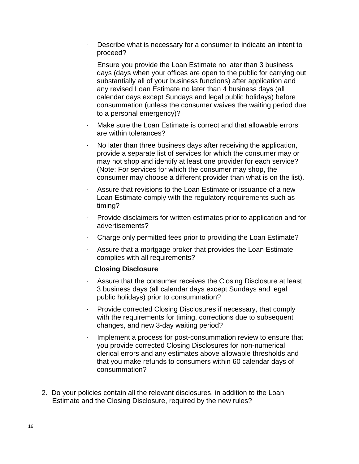- Describe what is necessary for a consumer to indicate an intent to proceed?
- Ensure you provide the Loan Estimate no later than 3 business days (days when your offices are open to the public for carrying out substantially all of your business functions) after application and any revised Loan Estimate no later than 4 business days (all calendar days except Sundays and legal public holidays) before consummation (unless the consumer waives the waiting period due to a personal emergency)?
- Make sure the Loan Estimate is correct and that allowable errors are within tolerances?
- No later than three business days after receiving the application, provide a separate list of services for which the consumer may or may not shop and identify at least one provider for each service? (Note: For services for which the consumer may shop, the consumer may choose a different provider than what is on the list).
- Assure that revisions to the Loan Estimate or issuance of a new Loan Estimate comply with the regulatory requirements such as timing?
- Provide disclaimers for written estimates prior to application and for advertisements?
- Charge only permitted fees prior to providing the Loan Estimate?
- Assure that a mortgage broker that provides the Loan Estimate complies with all requirements?

## **Closing Disclosure**

- Assure that the consumer receives the Closing Disclosure at least 3 business days (all calendar days except Sundays and legal public holidays) prior to consummation?
- Provide corrected Closing Disclosures if necessary, that comply with the requirements for timing, corrections due to subsequent changes, and new 3-day waiting period?
- Implement a process for post-consummation review to ensure that you provide corrected Closing Disclosures for non-numerical clerical errors and any estimates above allowable thresholds and that you make refunds to consumers within 60 calendar days of consummation?
- 2. Do your policies contain all the relevant disclosures, in addition to the Loan Estimate and the Closing Disclosure, required by the new rules?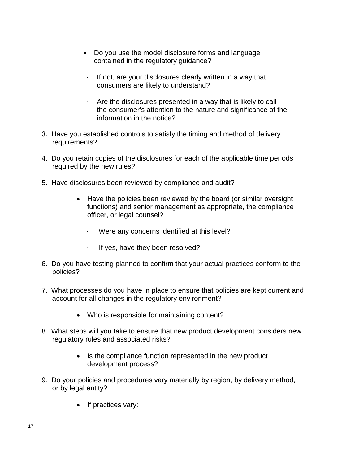- Do you use the model disclosure forms and language contained in the regulatory guidance?
	- If not, are your disclosures clearly written in a way that consumers are likely to understand?
- Are the disclosures presented in a way that is likely to call the consumer's attention to the nature and significance of the information in the notice?
- 3. Have you established controls to satisfy the timing and method of delivery requirements?
- 4. Do you retain copies of the disclosures for each of the applicable time periods required by the new rules?
- 5. Have disclosures been reviewed by compliance and audit?
	- Have the policies been reviewed by the board (or similar oversight functions) and senior management as appropriate, the compliance officer, or legal counsel?
		- Were any concerns identified at this level?
		- If yes, have they been resolved?
- 6. Do you have testing planned to confirm that your actual practices conform to the policies?
- 7. What processes do you have in place to ensure that policies are kept current and account for all changes in the regulatory environment?
	- Who is responsible for maintaining content?
- 8. What steps will you take to ensure that new product development considers new regulatory rules and associated risks?
	- Is the compliance function represented in the new product development process?
- 9. Do your policies and procedures vary materially by region, by delivery method, or by legal entity?
	- If practices vary: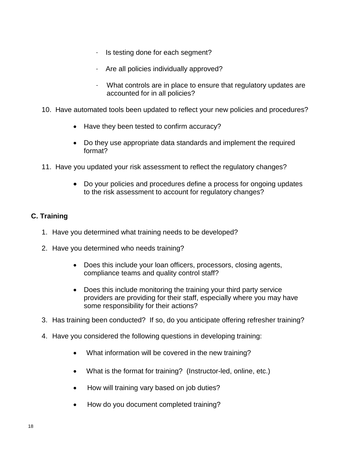- Is testing done for each segment?
- Are all policies individually approved?
- What controls are in place to ensure that regulatory updates are accounted for in all policies?
- 10. Have automated tools been updated to reflect your new policies and procedures?
	- Have they been tested to confirm accuracy?
	- Do they use appropriate data standards and implement the required format?
- 11. Have you updated your risk assessment to reflect the regulatory changes?
	- Do your policies and procedures define a process for ongoing updates to the risk assessment to account for regulatory changes?

# **C. Training**

- 1. Have you determined what training needs to be developed?
- 2. Have you determined who needs training?
	- Does this include your loan officers, processors, closing agents, compliance teams and quality control staff?
	- Does this include monitoring the training your third party service providers are providing for their staff, especially where you may have some responsibility for their actions?
- 3. Has training been conducted? If so, do you anticipate offering refresher training?
- 4. Have you considered the following questions in developing training:
	- What information will be covered in the new training?
	- What is the format for training? (Instructor-led, online, etc.)
	- How will training vary based on job duties?
	- How do you document completed training?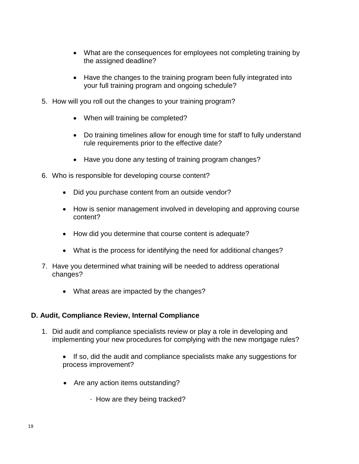- What are the consequences for employees not completing training by the assigned deadline?
- Have the changes to the training program been fully integrated into your full training program and ongoing schedule?
- 5. How will you roll out the changes to your training program?
	- When will training be completed?
	- Do training timelines allow for enough time for staff to fully understand rule requirements prior to the effective date?
	- Have you done any testing of training program changes?
- 6. Who is responsible for developing course content?
	- Did you purchase content from an outside vendor?
	- How is senior management involved in developing and approving course content?
	- How did you determine that course content is adequate?
	- What is the process for identifying the need for additional changes?
- 7. Have you determined what training will be needed to address operational changes?
	- What areas are impacted by the changes?

# **D. Audit, Compliance Review, Internal Compliance**

- 1. Did audit and compliance specialists review or play a role in developing and implementing your new procedures for complying with the new mortgage rules?
	- If so, did the audit and compliance specialists make any suggestions for process improvement?
	- Are any action items outstanding?
		- How are they being tracked?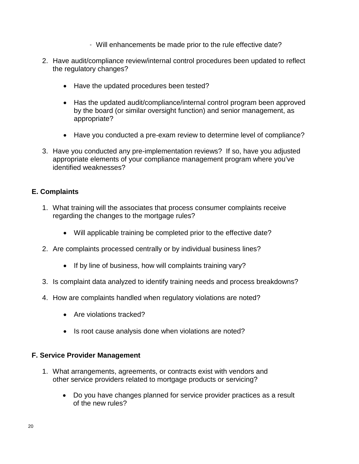- Will enhancements be made prior to the rule effective date?
- 2. Have audit/compliance review/internal control procedures been updated to reflect the regulatory changes?
	- Have the updated procedures been tested?
	- Has the updated audit/compliance/internal control program been approved by the board (or similar oversight function) and senior management, as appropriate?
	- Have you conducted a pre-exam review to determine level of compliance?
- 3. Have you conducted any pre-implementation reviews? If so, have you adjusted appropriate elements of your compliance management program where you've identified weaknesses?

# **E. Complaints**

- 1. What training will the associates that process consumer complaints receive regarding the changes to the mortgage rules?
	- Will applicable training be completed prior to the effective date?
- 2. Are complaints processed centrally or by individual business lines?
	- If by line of business, how will complaints training vary?
- 3. Is complaint data analyzed to identify training needs and process breakdowns?
- 4. How are complaints handled when regulatory violations are noted?
	- Are violations tracked?
	- Is root cause analysis done when violations are noted?

## **F. Service Provider Management**

- 1. What arrangements, agreements, or contracts exist with vendors and other service providers related to mortgage products or servicing?
	- Do you have changes planned for service provider practices as a result of the new rules?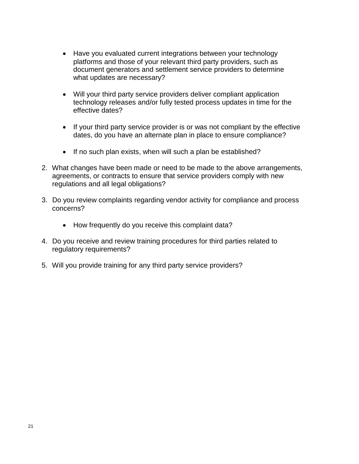- Have you evaluated current integrations between your technology platforms and those of your relevant third party providers, such as document generators and settlement service providers to determine what updates are necessary?
- Will your third party service providers deliver compliant application technology releases and/or fully tested process updates in time for the effective dates?
- If your third party service provider is or was not compliant by the effective dates, do you have an alternate plan in place to ensure compliance?
- If no such plan exists, when will such a plan be established?
- 2. What changes have been made or need to be made to the above arrangements, agreements, or contracts to ensure that service providers comply with new regulations and all legal obligations?
- 3. Do you review complaints regarding vendor activity for compliance and process concerns?
	- How frequently do you receive this complaint data?
- 4. Do you receive and review training procedures for third parties related to regulatory requirements?
- 5. Will you provide training for any third party service providers?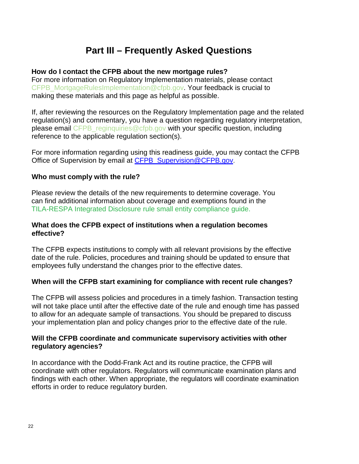# **Part III – Frequently Asked Questions**

#### **How do I contact the CFPB about the new mortgage rules?**

For more information on Regulatory Implementation materials, please contact CFPB MortgageRulesImplementation@cfpb.gov. Your feedback is crucial to making these materials and this page as helpful as possible.

If, after reviewing the resources on the Regulatory Implementation page and the related regulation(s) and commentary, you have a question regarding regulatory interpretation, please email [CFPB\\_reginquiries@cfpb.gov](mailto:CFPB_reginquiries@cfpb.gov) with your specific question, including reference to the applicable regulation section(s).

For more information regarding using this readiness guide, you may contact the CFPB Office of Supervision by email at CFPB Supervision@CFPB.gov.

#### **Who must comply with the rule?**

Please review the details of the new requirements to determine coverage. You can find additional information about coverage and exemptions found in the [TILA-RESPA Integrated Disclosure rule small entity compliance guide.](http://www.consumerfinance.gov/regulatory-implementation/tila-respa/)

#### **What does the CFPB expect of institutions when a regulation becomes effective?**

The CFPB expects institutions to comply with all relevant provisions by the effective date of the rule. Policies, procedures and training should be updated to ensure that employees fully understand the changes prior to the effective dates.

## **When will the CFPB start examining for compliance with recent rule changes?**

The CFPB will assess policies and procedures in a timely fashion. Transaction testing will not take place until after the effective date of the rule and enough time has passed to allow for an adequate sample of transactions. You should be prepared to discuss your implementation plan and policy changes prior to the effective date of the rule.

#### **Will the CFPB coordinate and communicate supervisory activities with other regulatory agencies?**

In accordance with the Dodd-Frank Act and its routine practice, the CFPB will coordinate with other regulators. Regulators will communicate examination plans and findings with each other. When appropriate, the regulators will coordinate examination efforts in order to reduce regulatory burden.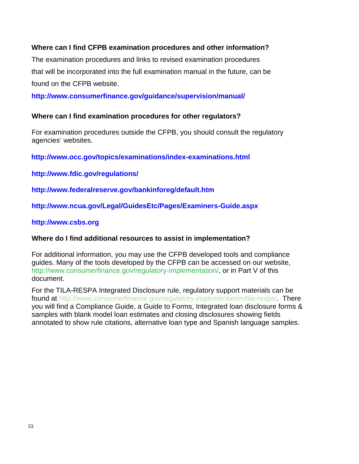# **Where can I find CFPB examination procedures and other information?**

The examination procedures and links to revised examination procedures that will be incorporated into the full examination manual in the future, can be found on the CFPB website.

**<http://www.consumerfinance.gov/guidance/supervision/manual/>**

## **Where can I find examination procedures for other regulators?**

For examination procedures outside the CFPB, you should consult the regulatory agencies' websites.

 **<http://www.occ.gov/topics/examinations/index-examinations.html>**

**<http://www.fdic.gov/regulations/>**

**<http://www.federalreserve.gov/bankinforeg/default.htm>**

**<http://www.ncua.gov/Legal/GuidesEtc/Pages/Examiners-Guide.aspx>**

# **[http://www.csbs.org](http://www.csbs.org/)**

## **Where do I find additional resources to assist in implementation?**

For additional information, you may use the CFPB developed tools and compliance guides. Many of the tools developed by the CFPB can be accessed on our website, [http://www.consumerfinance.gov/regulatory-implementation/,](http://www.consumerfinance.gov/regulatory-implementation/) or in Part V of this document.

For the TILA-RESPA Integrated Disclosure rule, regulatory support materials can be found at [http://www.consumerfinance.gov/regulatory-implementation/tila-respa/.](http://www.consumerfinance.gov/regulatory-implementation/tila-respa/) There you will find a Compliance Guide, a Guide to Forms, Integrated loan disclosure forms & samples with blank model loan estimates and closing disclosures showing fields annotated to show rule citations, alternative loan type and Spanish language samples.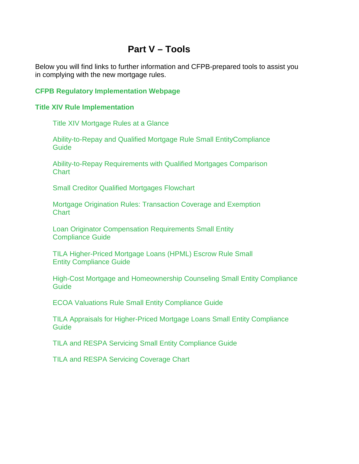# **Part V – Tools**

Below you will find links to further information and CFPB-prepared tools to assist you in complying with the new mortgage rules.

# **[CFPB Regulatory Implementation Webpage](http://www.consumerfinance.gov/regulatory-implementation/)**

#### **[Title XIV Rule Implementation](http://www.consumerfinance.gov/regulatory-implementation/title-xiv/)**

[Title XIV Mortgage Rules at a Glance](http://www.consumerfinance.gov/mortgage-rules-at-a-glance/)

[Ability-to-Repay and Qualified Mortgage Rule Small EntityCompliance](http://files.consumerfinance.gov/f/201401_cfpb_atr-qm_small-entity-compliance-guide.pdf)  [Guide](http://files.consumerfinance.gov/f/201401_cfpb_atr-qm_small-entity-compliance-guide.pdf) 

[Ability-to-Repay Requirements with Qualified](http://files.consumerfinance.gov/f/201308_cfpb_atr-and-qm-comparison-chart_V2_final.pdf) Mortgages Comparison **Chart** 

[Small Creditor Qualified Mortgages Flowchart](http://files.consumerfinance.gov/f/201405_cfpb_smallcreditorflowchart_final.pdf)

Mortgage Origination [Rules: Transaction Coverage and Exemption](http://files.consumerfinance.gov/f/201311_cfpb_origination-coverage-and-exemptions-chart.pdf)  **[Chart](http://files.consumerfinance.gov/f/201311_cfpb_origination-coverage-and-exemptions-chart.pdf)** 

[Loan Originator Compensation](http://files.consumerfinance.gov/f/201401_cfpb_complaince-guide_loan-originator.pdf) Requirements Small Entity [Compliance Guide](http://files.consumerfinance.gov/f/201401_cfpb_complaince-guide_loan-originator.pdf) 

[TILA Higher-Priced Mortgage Loans \(HPML\) Escrow Rule Small](http://files.consumerfinance.gov/f/201401_cfpb_tila-hpml-escrow_compliance-guide.pdf)  [Entity Compliance Guide](http://files.consumerfinance.gov/f/201401_cfpb_tila-hpml-escrow_compliance-guide.pdf)

[High-Cost Mortgage and Homeownership Counseling Small Entity](http://files.consumerfinance.gov/f/201401_cfpb_hoepa-compliance-guide.pdf) Compliance **[Guide](http://files.consumerfinance.gov/f/201401_cfpb_hoepa-compliance-guide.pdf)** 

ECOA Valuations Rule [Small Entity Compliance Guide](http://files.consumerfinance.gov/f/201401_cfpb_compliance-guide_ecoa.pdf)

[TILA Appraisals for Higher-Priced Mortgage Loans Small Entity Compliance](http://files.consumerfinance.gov/f/201401_cfpb_tila-hpml_appraisal-rule-guide.pdf)  **[Guide](http://files.consumerfinance.gov/f/201401_cfpb_tila-hpml_appraisal-rule-guide.pdf)** 

[TILA and RESPA Servicing Small](http://files.consumerfinance.gov/f/201401_cfpb_small-entity-compliance-guide_tila-respa.pdf) Entity Compliance Guide

[TILA and RESPA Servicing Coverage Chart](http://files.consumerfinance.gov/f/201312_cfpb_servicing-applicability-comparison-chart-reg-x-and-z.pdf)